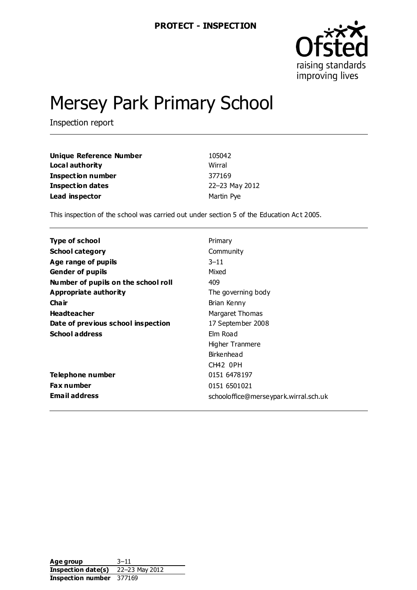

# Mersey Park Primary School

Inspection report

| Unique Reference Number  | 105042         |
|--------------------------|----------------|
| Local authority          | Wirral         |
| <b>Inspection number</b> | 377169         |
| <b>Inspection dates</b>  | 22-23 May 2012 |
| Lead inspector           | Martin Pye     |

This inspection of the school was carried out under section 5 of the Education Act 2005.

| Type of school                      | Primary                               |
|-------------------------------------|---------------------------------------|
| <b>School category</b>              | Community                             |
| Age range of pupils                 | $3 - 11$                              |
| <b>Gender of pupils</b>             | Mixed                                 |
| Number of pupils on the school roll | 409                                   |
| <b>Appropriate authority</b>        | The governing body                    |
| Cha ir                              | Brian Kenny                           |
| <b>Headteacher</b>                  | Margaret Thomas                       |
| Date of previous school inspection  | 17 September 2008                     |
| <b>School address</b>               | Elm Road                              |
|                                     | Higher Tranmere                       |
|                                     | Birkenhead                            |
|                                     | CH42 OPH                              |
| Telephone number                    | 0151 6478 197                         |
| Fax number                          | 0151 6501021                          |
| <b>Email address</b>                | schooloffice@merseypark.wirral.sch.uk |

**Age group** 3–11 **Inspection date(s)** 22–23 May 2012 **Inspection number** 377169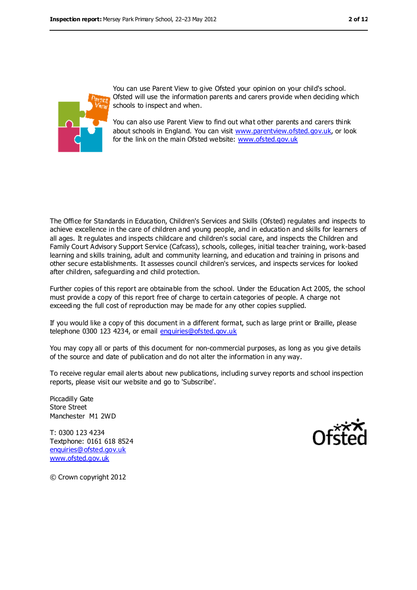

You can use Parent View to give Ofsted your opinion on your child's school. Ofsted will use the information parents and carers provide when deciding which schools to inspect and when.

You can also use Parent View to find out what other parents and carers think about schools in England. You can visit [www.parentview.ofsted.gov.uk,](file:///C:/Users/kculshaw/AppData/Local/Users/mpye/AppData/Local/Users/mpye/AppData/Local/Users/mpye/AppData/Local/Microsoft/Windows/Temporary%20Internet%20Files/Content.IE5/8HCRDUCR/www.parentview.ofsted.gov.uk) or look for the link on the main Ofsted website: [www.ofsted.gov.uk](file:///C:/Users/kculshaw/AppData/Local/Users/mpye/AppData/Local/Users/mpye/AppData/Local/Users/mpye/AppData/Local/Microsoft/Windows/Temporary%20Internet%20Files/Content.IE5/8HCRDUCR/www.ofsted.gov.uk)

The Office for Standards in Education, Children's Services and Skills (Ofsted) regulates and inspects to achieve excellence in the care of children and young people, and in educatio n and skills for learners of all ages. It regulates and inspects childcare and children's social care, and inspects the Children and Family Court Advisory Support Service (Cafcass), schools, colleges, initial teacher training, work-based learning and skills training, adult and community learning, and education and training in prisons and other secure establishments. It assesses council children's services, and inspects services for looked after children, safeguarding and child protection.

Further copies of this report are obtainable from the school. Under the Education Act 2005, the school must provide a copy of this report free of charge to certain categories of people. A charge not exceeding the full cost of reproduction may be made for any other copies supplied.

If you would like a copy of this document in a different format, such as large print or Braille, please telephone 0300 123 4234, or email [enquiries@ofsted.gov.uk](mailto:enquiries@ofsted.gov.uk)

You may copy all or parts of this document for non-commercial purposes, as long as you give details of the source and date of publication and do not alter the information in any way.

To receive regular email alerts about new publications, including survey reports and school inspection reports, please visit our website and go to 'Subscribe'.

Piccadilly Gate Store Street Manchester M1 2WD

T: 0300 123 4234 Textphone: 0161 618 8524 [enquiries@ofsted.gov.uk](mailto:enquiries@ofsted.gov.uk) [www.ofsted.gov.uk](http://www.ofsted.gov.uk/)



© Crown copyright 2012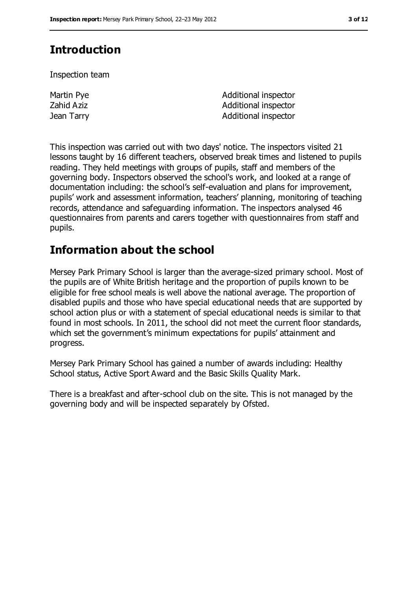# **Introduction**

Inspection team

Martin Pye Zahid Aziz

Additional inspector Additional inspector **Jean Tarry Community Community** and Additional inspector

This inspection was carried out with two days' notice. The inspectors visited 21 lessons taught by 16 different teachers, observed break times and listened to pupils reading. They held meetings with groups of pupils, staff and members of the governing body. Inspectors observed the school's work, and looked at a range of documentation including: the school's self-evaluation and plans for improvement, pupils' work and assessment information, teachers' planning, monitoring of teaching records, attendance and safeguarding information. The inspectors analysed 46 questionnaires from parents and carers together with questionnaires from staff and pupils.

# **Information about the school**

Mersey Park Primary School is larger than the average-sized primary school. Most of the pupils are of White British heritage and the proportion of pupils known to be eligible for free school meals is well above the national average. The proportion of disabled pupils and those who have special educational needs that are supported by school action plus or with a statement of special educational needs is similar to that found in most schools. In 2011, the school did not meet the current floor standards, which set the government's minimum expectations for pupils' attainment and progress.

Mersey Park Primary School has gained a number of awards including: Healthy School status, Active Sport Award and the Basic Skills Quality Mark.

There is a breakfast and after-school club on the site. This is not managed by the governing body and will be inspected separately by Ofsted.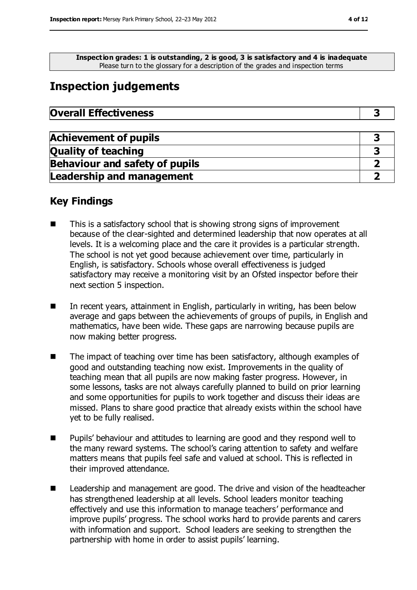**Inspection grades: 1 is outstanding, 2 is good, 3 is satisfactory and 4 is inadequate** Please turn to the glossary for a description of the grades and inspection terms

# **Inspection judgements**

| <b>Overall Effectiveness</b> |
|------------------------------|
|------------------------------|

| <b>Achievement of pupils</b>          |  |
|---------------------------------------|--|
| <b>Quality of teaching</b>            |  |
| <b>Behaviour and safety of pupils</b> |  |
| <b>Leadership and management</b>      |  |

## **Key Findings**

- This is a satisfactory school that is showing strong signs of improvement because of the clear-sighted and determined leadership that now operates at all levels. It is a welcoming place and the care it provides is a particular strength. The school is not yet good because achievement over time, particularly in English, is satisfactory. Schools whose overall effectiveness is judged satisfactory may receive a monitoring visit by an Ofsted inspector before their next section 5 inspection.
- In recent years, attainment in English, particularly in writing, has been below average and gaps between the achievements of groups of pupils, in English and mathematics, have been wide. These gaps are narrowing because pupils are now making better progress.
- The impact of teaching over time has been satisfactory, although examples of good and outstanding teaching now exist. Improvements in the quality of teaching mean that all pupils are now making faster progress. However, in some lessons, tasks are not always carefully planned to build on prior learning and some opportunities for pupils to work together and discuss their ideas are missed. Plans to share good practice that already exists within the school have yet to be fully realised.
- **Pupils' behaviour and attitudes to learning are good and they respond well to** the many reward systems. The school's caring attention to safety and welfare matters means that pupils feel safe and valued at school. This is reflected in their improved attendance.
- Leadership and management are good. The drive and vision of the headteacher has strengthened leadership at all levels. School leaders monitor teaching effectively and use this information to manage teachers' performance and improve pupils' progress. The school works hard to provide parents and carers with information and support. School leaders are seeking to strengthen the partnership with home in order to assist pupils' learning.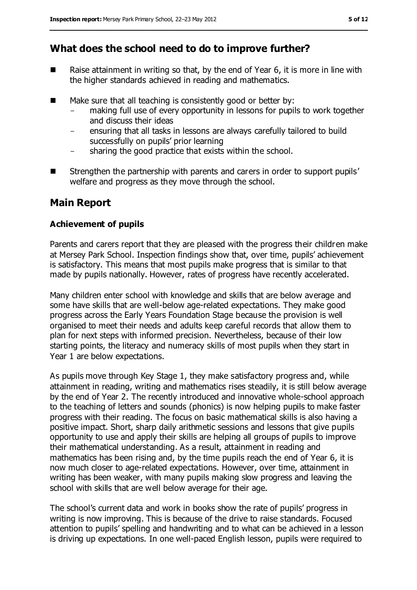## **What does the school need to do to improve further?**

- Raise attainment in writing so that, by the end of Year  $6$ , it is more in line with the higher standards achieved in reading and mathematics.
- $\blacksquare$  Make sure that all teaching is consistently good or better by:
	- making full use of every opportunity in lessons for pupils to work together and discuss their ideas
	- ensuring that all tasks in lessons are always carefully tailored to build successfully on pupils' prior learning
	- sharing the good practice that exists within the school.
- Strengthen the partnership with parents and carers in order to support pupils' welfare and progress as they move through the school.

## **Main Report**

#### **Achievement of pupils**

Parents and carers report that they are pleased with the progress their children make at Mersey Park School. Inspection findings show that, over time, pupils' achievement is satisfactory. This means that most pupils make progress that is similar to that made by pupils nationally. However, rates of progress have recently accelerated.

Many children enter school with knowledge and skills that are below average and some have skills that are well-below age-related expectations. They make good progress across the Early Years Foundation Stage because the provision is well organised to meet their needs and adults keep careful records that allow them to plan for next steps with informed precision. Nevertheless, because of their low starting points, the literacy and numeracy skills of most pupils when they start in Year 1 are below expectations.

As pupils move through Key Stage 1, they make satisfactory progress and, while attainment in reading, writing and mathematics rises steadily, it is still below average by the end of Year 2. The recently introduced and innovative whole-school approach to the teaching of letters and sounds (phonics) is now helping pupils to make faster progress with their reading. The focus on basic mathematical skills is also having a positive impact. Short, sharp daily arithmetic sessions and lessons that give pupils opportunity to use and apply their skills are helping all groups of pupils to improve their mathematical understanding. As a result, attainment in reading and mathematics has been rising and, by the time pupils reach the end of Year 6, it is now much closer to age-related expectations. However, over time, attainment in writing has been weaker, with many pupils making slow progress and leaving the school with skills that are well below average for their age.

The school's current data and work in books show the rate of pupils' progress in writing is now improving. This is because of the drive to raise standards. Focused attention to pupils' spelling and handwriting and to what can be achieved in a lesson is driving up expectations. In one well-paced English lesson, pupils were required to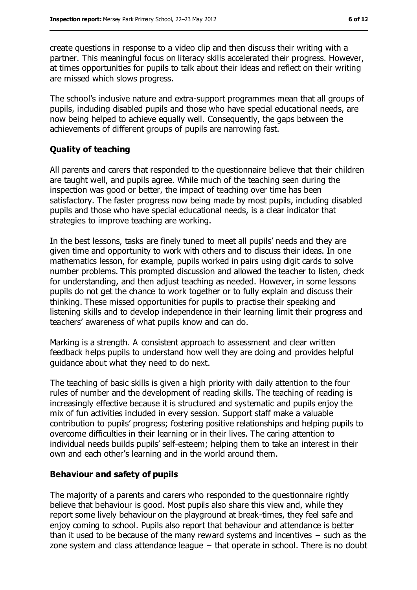create questions in response to a video clip and then discuss their writing with a partner. This meaningful focus on literacy skills accelerated their progress. However, at times opportunities for pupils to talk about their ideas and reflect on their writing are missed which slows progress.

The school's inclusive nature and extra-support programmes mean that all groups of pupils, including disabled pupils and those who have special educational needs, are now being helped to achieve equally well. Consequently, the gaps between the achievements of different groups of pupils are narrowing fast.

#### **Quality of teaching**

All parents and carers that responded to the questionnaire believe that their children are taught well, and pupils agree. While much of the teaching seen during the inspection was good or better, the impact of teaching over time has been satisfactory. The faster progress now being made by most pupils, including disabled pupils and those who have special educational needs, is a clear indicator that strategies to improve teaching are working.

In the best lessons, tasks are finely tuned to meet all pupils' needs and they are given time and opportunity to work with others and to discuss their ideas. In one mathematics lesson, for example, pupils worked in pairs using digit cards to solve number problems. This prompted discussion and allowed the teacher to listen, check for understanding, and then adjust teaching as needed. However, in some lessons pupils do not get the chance to work together or to fully explain and discuss their thinking. These missed opportunities for pupils to practise their speaking and listening skills and to develop independence in their learning limit their progress and teachers' awareness of what pupils know and can do.

Marking is a strength. A consistent approach to assessment and clear written feedback helps pupils to understand how well they are doing and provides helpful guidance about what they need to do next.

The teaching of basic skills is given a high priority with daily attention to the four rules of number and the development of reading skills. The teaching of reading is increasingly effective because it is structured and systematic and pupils enjoy the mix of fun activities included in every session. Support staff make a valuable contribution to pupils' progress; fostering positive relationships and helping pupils to overcome difficulties in their learning or in their lives. The caring attention to individual needs builds pupils' self-esteem; helping them to take an interest in their own and each other's learning and in the world around them.

#### **Behaviour and safety of pupils**

The majority of a parents and carers who responded to the questionnaire rightly believe that behaviour is good. Most pupils also share this view and, while they report some lively behaviour on the playground at break-times, they feel safe and enjoy coming to school. Pupils also report that behaviour and attendance is better than it used to be because of the many reward systems and incentives − such as the zone system and class attendance league – that operate in school. There is no doubt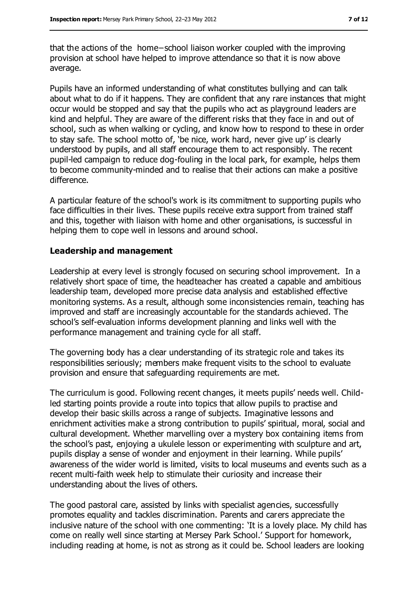that the actions of the home−school liaison worker coupled with the improving provision at school have helped to improve attendance so that it is now above average.

Pupils have an informed understanding of what constitutes bullying and can talk about what to do if it happens. They are confident that any rare instances that might occur would be stopped and say that the pupils who act as playground leaders are kind and helpful. They are aware of the different risks that they face in and out of school, such as when walking or cycling, and know how to respond to these in order to stay safe. The school motto of, 'be nice, work hard, never give up' is clearly understood by pupils, and all staff encourage them to act responsibly. The recent pupil-led campaign to reduce dog-fouling in the local park, for example, helps them to become community-minded and to realise that their actions can make a positive difference.

A particular feature of the school's work is its commitment to supporting pupils who face difficulties in their lives. These pupils receive extra support from trained staff and this, together with liaison with home and other organisations, is successful in helping them to cope well in lessons and around school.

#### **Leadership and management**

Leadership at every level is strongly focused on securing school improvement. In a relatively short space of time, the headteacher has created a capable and ambitious leadership team, developed more precise data analysis and established effective monitoring systems. As a result, although some inconsistencies remain, teaching has improved and staff are increasingly accountable for the standards achieved. The school's self-evaluation informs development planning and links well with the performance management and training cycle for all staff.

The governing body has a clear understanding of its strategic role and takes its responsibilities seriously; members make frequent visits to the school to evaluate provision and ensure that safeguarding requirements are met.

The curriculum is good. Following recent changes, it meets pupils' needs well. Childled starting points provide a route into topics that allow pupils to practise and develop their basic skills across a range of subjects. Imaginative lessons and enrichment activities make a strong contribution to pupils' spiritual, moral, social and cultural development. Whether marvelling over a mystery box containing items from the school's past, enjoying a ukulele lesson or experimenting with sculpture and art, pupils display a sense of wonder and enjoyment in their learning. While pupils' awareness of the wider world is limited, visits to local museums and events such as a recent multi-faith week help to stimulate their curiosity and increase their understanding about the lives of others.

The good pastoral care, assisted by links with specialist agencies, successfully promotes equality and tackles discrimination. Parents and carers appreciate the inclusive nature of the school with one commenting: 'It is a lovely place. My child has come on really well since starting at Mersey Park School.' Support for homework, including reading at home, is not as strong as it could be. School leaders are looking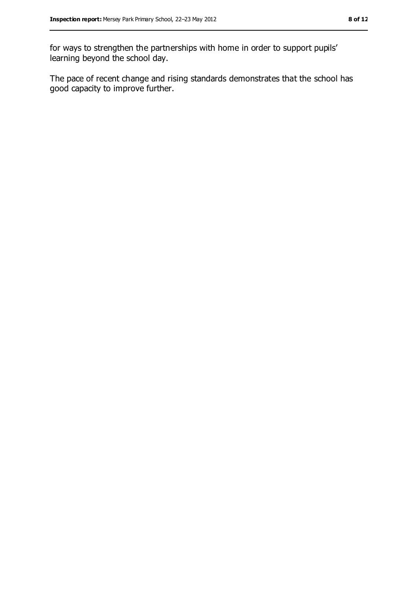for ways to strengthen the partnerships with home in order to support pupils' learning beyond the school day.

The pace of recent change and rising standards demonstrates that the school has good capacity to improve further.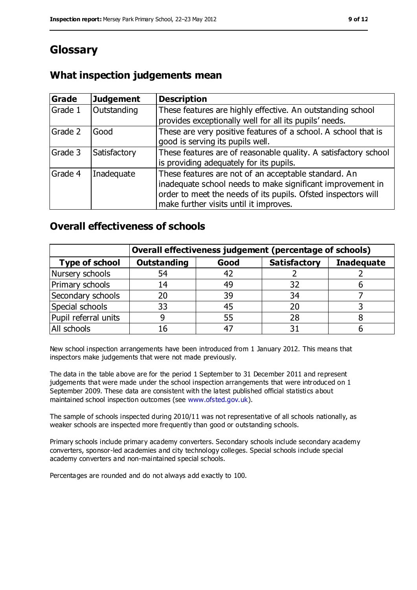# **Glossary**

## **What inspection judgements mean**

| Grade   | <b>Judgement</b> | <b>Description</b>                                                                                                                                                                                                            |
|---------|------------------|-------------------------------------------------------------------------------------------------------------------------------------------------------------------------------------------------------------------------------|
| Grade 1 | Outstanding      | These features are highly effective. An outstanding school<br>provides exceptionally well for all its pupils' needs.                                                                                                          |
| Grade 2 | Good             | These are very positive features of a school. A school that is<br>good is serving its pupils well.                                                                                                                            |
| Grade 3 | Satisfactory     | These features are of reasonable quality. A satisfactory school<br>is providing adequately for its pupils.                                                                                                                    |
| Grade 4 | Inadequate       | These features are not of an acceptable standard. An<br>inadequate school needs to make significant improvement in<br>order to meet the needs of its pupils. Ofsted inspectors will<br>make further visits until it improves. |

### **Overall effectiveness of schools**

|                       | Overall effectiveness judgement (percentage of schools) |       |                     |                   |
|-----------------------|---------------------------------------------------------|-------|---------------------|-------------------|
| <b>Type of school</b> | <b>Outstanding</b>                                      | Good  | <b>Satisfactory</b> | <b>Inadequate</b> |
| Nursery schools       | 54                                                      | 42    |                     |                   |
| Primary schools       | 14                                                      | 49    | 32                  |                   |
| Secondary schools     | 20                                                      | 39    | 34                  |                   |
| Special schools       | 33                                                      | 45    |                     |                   |
| Pupil referral units  | 9                                                       | 55    | 28                  |                   |
| All schools           | 16                                                      | $4^-$ |                     |                   |

New school inspection arrangements have been introduced from 1 January 2012. This means that inspectors make judgements that were not made previously.

The data in the table above are for the period 1 September to 31 December 2011 and represent judgements that were made under the school inspection arrangements that were introduced on 1 September 2009. These data are consistent with the latest published official statistics about maintained school inspection outcomes (see [www.ofsted.gov.uk\)](file:///C:/Users/kculshaw/AppData/Local/Users/mpye/AppData/Local/Users/mpye/AppData/Local/Users/mpye/AppData/Local/Microsoft/Windows/Temporary%20Internet%20Files/Content.IE5/8HCRDUCR/www.ofsted.gov.uk).

The sample of schools inspected during 2010/11 was not representative of all schools nationally, as weaker schools are inspected more frequently than good or outstanding schools.

Primary schools include primary academy converters. Secondary schools include secondary academy converters, sponsor-led academies and city technology colleges. Special schools include special academy converters and non-maintained special schools.

Percentages are rounded and do not always add exactly to 100.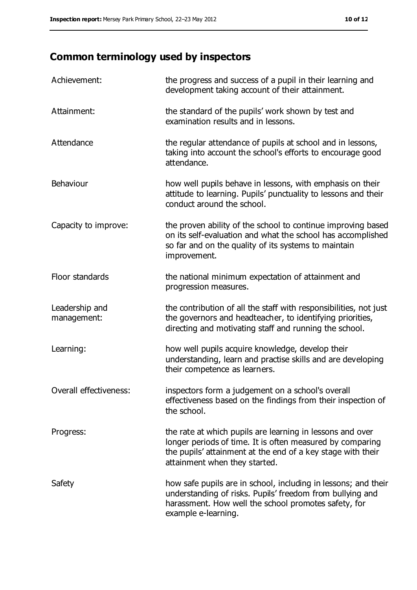# **Common terminology used by inspectors**

| Achievement:                  | the progress and success of a pupil in their learning and<br>development taking account of their attainment.                                                                                                           |
|-------------------------------|------------------------------------------------------------------------------------------------------------------------------------------------------------------------------------------------------------------------|
| Attainment:                   | the standard of the pupils' work shown by test and<br>examination results and in lessons.                                                                                                                              |
| Attendance                    | the regular attendance of pupils at school and in lessons,<br>taking into account the school's efforts to encourage good<br>attendance.                                                                                |
| <b>Behaviour</b>              | how well pupils behave in lessons, with emphasis on their<br>attitude to learning. Pupils' punctuality to lessons and their<br>conduct around the school.                                                              |
| Capacity to improve:          | the proven ability of the school to continue improving based<br>on its self-evaluation and what the school has accomplished<br>so far and on the quality of its systems to maintain<br>improvement.                    |
| Floor standards               | the national minimum expectation of attainment and<br>progression measures.                                                                                                                                            |
| Leadership and<br>management: | the contribution of all the staff with responsibilities, not just<br>the governors and headteacher, to identifying priorities,<br>directing and motivating staff and running the school.                               |
| Learning:                     | how well pupils acquire knowledge, develop their<br>understanding, learn and practise skills and are developing<br>their competence as learners.                                                                       |
| Overall effectiveness:        | inspectors form a judgement on a school's overall<br>effectiveness based on the findings from their inspection of<br>the school.                                                                                       |
| Progress:                     | the rate at which pupils are learning in lessons and over<br>longer periods of time. It is often measured by comparing<br>the pupils' attainment at the end of a key stage with their<br>attainment when they started. |
| Safety                        | how safe pupils are in school, including in lessons; and their<br>understanding of risks. Pupils' freedom from bullying and<br>harassment. How well the school promotes safety, for<br>example e-learning.             |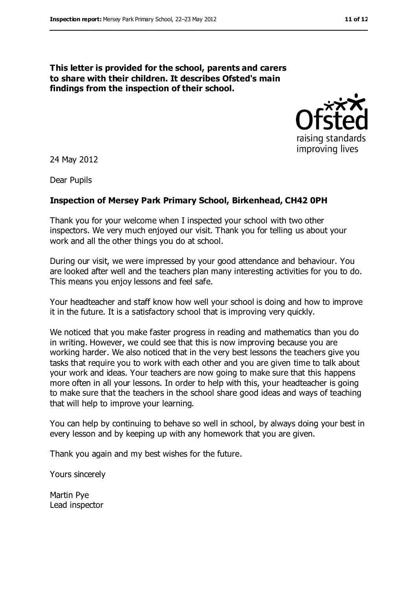#### **This letter is provided for the school, parents and carers to share with their children. It describes Ofsted's main findings from the inspection of their school.**



24 May 2012

Dear Pupils

#### **Inspection of Mersey Park Primary School, Birkenhead, CH42 0PH**

Thank you for your welcome when I inspected your school with two other inspectors. We very much enjoyed our visit. Thank you for telling us about your work and all the other things you do at school.

During our visit, we were impressed by your good attendance and behaviour. You are looked after well and the teachers plan many interesting activities for you to do. This means you enjoy lessons and feel safe.

Your headteacher and staff know how well your school is doing and how to improve it in the future. It is a satisfactory school that is improving very quickly.

We noticed that you make faster progress in reading and mathematics than you do in writing. However, we could see that this is now improving because you are working harder. We also noticed that in the very best lessons the teachers give you tasks that require you to work with each other and you are given time to talk about your work and ideas. Your teachers are now going to make sure that this happens more often in all your lessons. In order to help with this, your headteacher is going to make sure that the teachers in the school share good ideas and ways of teaching that will help to improve your learning.

You can help by continuing to behave so well in school, by always doing your best in every lesson and by keeping up with any homework that you are given.

Thank you again and my best wishes for the future.

Yours sincerely

Martin Pye Lead inspector